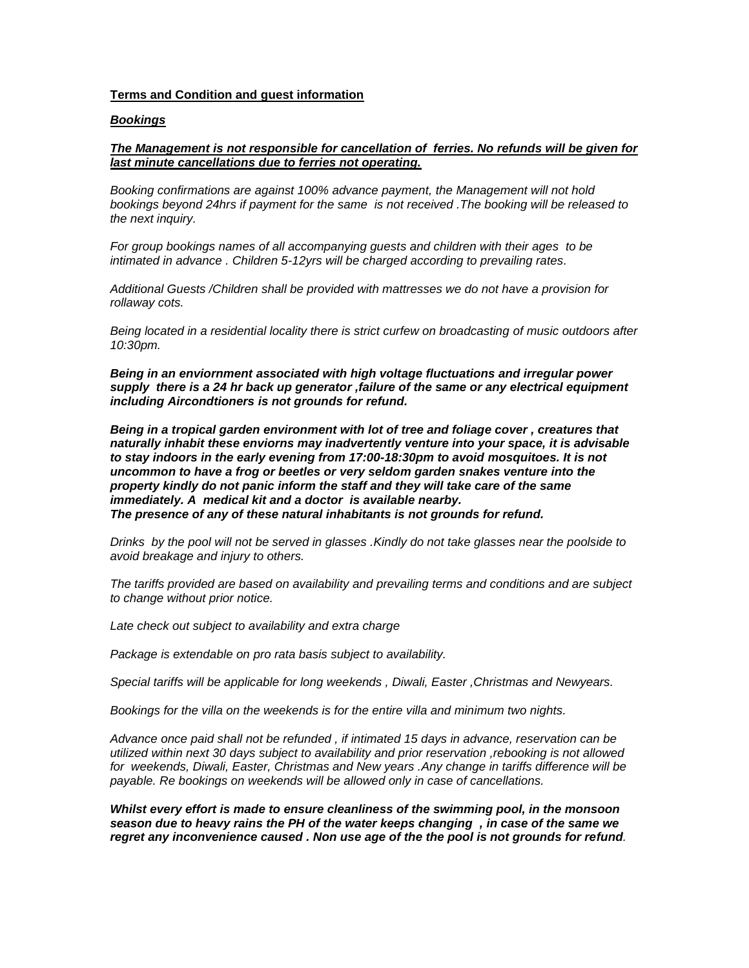### **Terms and Condition and guest information**

### *Bookings*

### *The Management is not responsible for cancellation of ferries. No refunds will be given for last minute cancellations due to ferries not operating.*

*Booking confirmations are against 100% advance payment, the Management will not hold bookings beyond 24hrs if payment for the same is not received .The booking will be released to the next inquiry.*

*For group bookings names of all accompanying guests and children with their ages to be intimated in advance . Children 5-12yrs will be charged according to prevailing rates.*

*Additional Guests /Children shall be provided with mattresses we do not have a provision for rollaway cots.* 

*Being located in a residential locality there is strict curfew on broadcasting of music outdoors after 10:30pm.*

*Being in an enviornment associated with high voltage fluctuations and irregular power supply there is a 24 hr back up generator ,failure of the same or any electrical equipment including Aircondtioners is not grounds for refund.*

*Being in a tropical garden environment with lot of tree and foliage cover , creatures that naturally inhabit these enviorns may inadvertently venture into your space, it is advisable to stay indoors in the early evening from 17:00-18:30pm to avoid mosquitoes. It is not uncommon to have a frog or beetles or very seldom garden snakes venture into the property kindly do not panic inform the staff and they will take care of the same immediately. A medical kit and a doctor is available nearby. The presence of any of these natural inhabitants is not grounds for refund.* 

*Drinks by the pool will not be served in glasses .Kindly do not take glasses near the poolside to avoid breakage and injury to others.*

*The tariffs provided are based on availability and prevailing terms and conditions and are subject to change without prior notice.* 

*Late check out subject to availability and extra charge*

*Package is extendable on pro rata basis subject to availability.*

*Special tariffs will be applicable for long weekends , Diwali, Easter ,Christmas and Newyears.*

*Bookings for the villa on the weekends is for the entire villa and minimum two nights.*

*Advance once paid shall not be refunded , if intimated 15 days in advance, reservation can be utilized within next 30 days subject to availability and prior reservation ,rebooking is not allowed for weekends, Diwali, Easter, Christmas and New years .Any change in tariffs difference will be payable. Re bookings on weekends will be allowed only in case of cancellations.* 

*Whilst every effort is made to ensure cleanliness of the swimming pool, in the monsoon season due to heavy rains the PH of the water keeps changing , in case of the same we regret any inconvenience caused . Non use age of the the pool is not grounds for refund.*